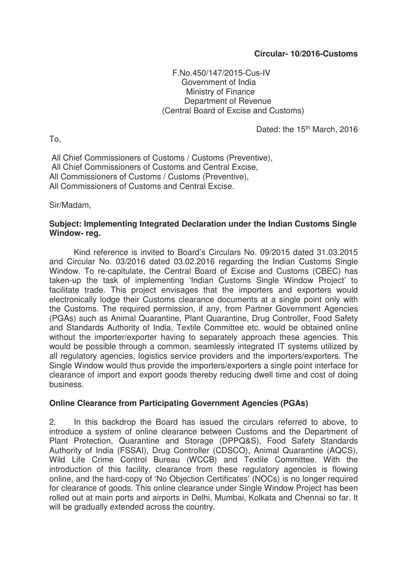## **Circular- 10/2016-Customs**

### F.No.450/147/2015-Cus-IV Government of India Ministry of Finance Department of Revenue (Central Board of Excise and Customs)

Dated: the 15<sup>th</sup> March, 2016

To,

 All Chief Commissioners of Customs / Customs (Preventive), All Chief Commissioners of Customs and Central Excise, All Commissioners of Customs / Customs (Preventive), All Commissioners of Customs and Central Excise.

Sir/Madam,

## **Subject: Implementing Integrated Declaration under the Indian Customs Single Window- reg.**

Kind reference is invited to Board's Circulars No. 09/2015 dated 31.03.2015 and Circular No. 03/2016 dated 03.02.2016 regarding the Indian Customs Single Window. To re-capitulate, the Central Board of Excise and Customs (CBEC) has taken-up the task of implementing 'Indian Customs Single Window Project' to facilitate trade. This project envisages that the importers and exporters would electronically lodge their Customs clearance documents at a single point only with the Customs. The required permission, if any, from Partner Government Agencies (PGAs) such as Animal Quarantine, Plant Quarantine, Drug Controller, Food Safety and Standards Authority of India, Textile Committee etc. would be obtained online without the importer/exporter having to separately approach these agencies. This would be possible through a common, seamlessly integrated IT systems utilized by all regulatory agencies, logistics service providers and the importers/exporters. The Single Window would thus provide the importers/exporters a single point interface for clearance of import and export goods thereby reducing dwell time and cost of doing business.

# **Online Clearance from Participating Government Agencies (PGAs)**

2. In this backdrop the Board has issued the circulars referred to above, to introduce a system of online clearance between Customs and the Department of Plant Protection, Quarantine and Storage (DPPQ&S), Food Safety Standards Authority of India (FSSAI), Drug Controller (CDSCO), Animal Quarantine (AQCS), Wild Life Crime Control Bureau (WCCB) and Textile Committee. With the introduction of this facility, clearance from these regulatory agencies is flowing online, and the hard-copy of 'No Objection Certificates' (NOCs) is no longer required for clearance of goods. This online clearance under Single Window Project has been rolled out at main ports and airports in Delhi, Mumbai, Kolkata and Chennai so far. It will be gradually extended across the country.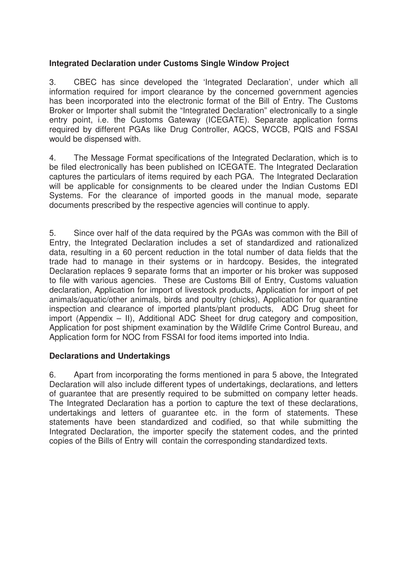# **Integrated Declaration under Customs Single Window Project**

3. CBEC has since developed the 'Integrated Declaration', under which all information required for import clearance by the concerned government agencies has been incorporated into the electronic format of the Bill of Entry. The Customs Broker or Importer shall submit the "Integrated Declaration" electronically to a single entry point, i.e. the Customs Gateway (ICEGATE). Separate application forms required by different PGAs like Drug Controller, AQCS, WCCB, PQIS and FSSAI would be dispensed with.

4. The Message Format specifications of the Integrated Declaration, which is to be filed electronically has been published on ICEGATE. The Integrated Declaration captures the particulars of items required by each PGA. The Integrated Declaration will be applicable for consignments to be cleared under the Indian Customs EDI Systems. For the clearance of imported goods in the manual mode, separate documents prescribed by the respective agencies will continue to apply.

5. Since over half of the data required by the PGAs was common with the Bill of Entry, the Integrated Declaration includes a set of standardized and rationalized data, resulting in a 60 percent reduction in the total number of data fields that the trade had to manage in their systems or in hardcopy. Besides, the integrated Declaration replaces 9 separate forms that an importer or his broker was supposed to file with various agencies. These are Customs Bill of Entry, Customs valuation declaration, Application for import of livestock products, Application for import of pet animals/aquatic/other animals, birds and poultry (chicks), Application for quarantine inspection and clearance of imported plants/plant products, ADC Drug sheet for import (Appendix – II), Additional ADC Sheet for drug category and composition, Application for post shipment examination by the Wildlife Crime Control Bureau, and Application form for NOC from FSSAI for food items imported into India.

### **Declarations and Undertakings**

6. Apart from incorporating the forms mentioned in para 5 above, the Integrated Declaration will also include different types of undertakings, declarations, and letters of guarantee that are presently required to be submitted on company letter heads. The Integrated Declaration has a portion to capture the text of these declarations, undertakings and letters of guarantee etc. in the form of statements. These statements have been standardized and codified, so that while submitting the Integrated Declaration, the importer specify the statement codes, and the printed copies of the Bills of Entry will contain the corresponding standardized texts.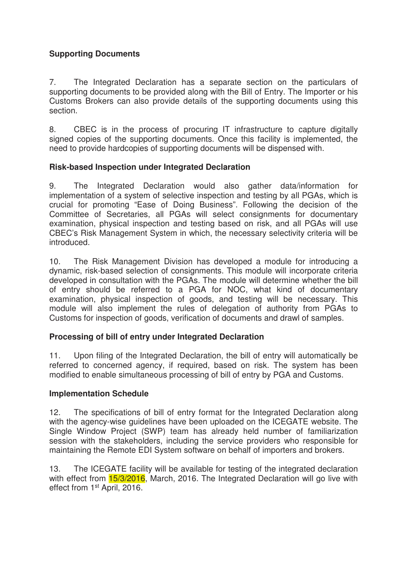# **Supporting Documents**

7. The Integrated Declaration has a separate section on the particulars of supporting documents to be provided along with the Bill of Entry. The Importer or his Customs Brokers can also provide details of the supporting documents using this section.

8. CBEC is in the process of procuring IT infrastructure to capture digitally signed copies of the supporting documents. Once this facility is implemented, the need to provide hardcopies of supporting documents will be dispensed with.

# **Risk-based Inspection under Integrated Declaration**

9. The Integrated Declaration would also gather data/information for implementation of a system of selective inspection and testing by all PGAs, which is crucial for promoting "Ease of Doing Business". Following the decision of the Committee of Secretaries, all PGAs will select consignments for documentary examination, physical inspection and testing based on risk, and all PGAs will use CBEC's Risk Management System in which, the necessary selectivity criteria will be introduced.

10. The Risk Management Division has developed a module for introducing a dynamic, risk-based selection of consignments. This module will incorporate criteria developed in consultation with the PGAs. The module will determine whether the bill of entry should be referred to a PGA for NOC, what kind of documentary examination, physical inspection of goods, and testing will be necessary. This module will also implement the rules of delegation of authority from PGAs to Customs for inspection of goods, verification of documents and drawl of samples.

# **Processing of bill of entry under Integrated Declaration**

11. Upon filing of the Integrated Declaration, the bill of entry will automatically be referred to concerned agency, if required, based on risk. The system has been modified to enable simultaneous processing of bill of entry by PGA and Customs.

### **Implementation Schedule**

12. The specifications of bill of entry format for the Integrated Declaration along with the agency-wise guidelines have been uploaded on the ICEGATE website. The Single Window Project (SWP) team has already held number of familiarization session with the stakeholders, including the service providers who responsible for maintaining the Remote EDI System software on behalf of importers and brokers.

13. The ICEGATE facility will be available for testing of the integrated declaration with effect from 15/3/2016, March, 2016. The Integrated Declaration will go live with effect from 1st April, 2016.